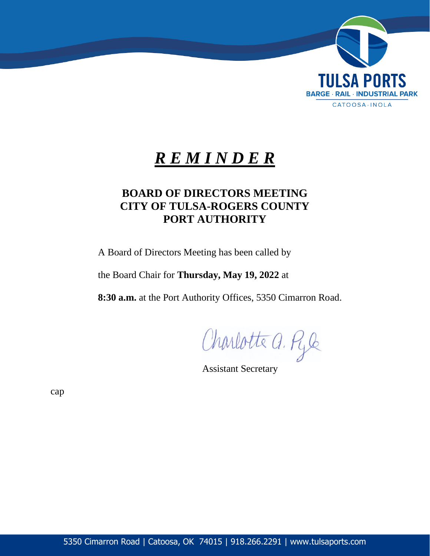

# *R E M I N D E R*

# **BOARD OF DIRECTORS MEETING CITY OF TULSA-ROGERS COUNTY PORT AUTHORITY**

A Board of Directors Meeting has been called by

the Board Chair for **Thursday, May 19, 2022** at

**8:30 a.m.** at the Port Authority Offices, 5350 Cimarron Road.

Charlotte a. Ryle

Assistant Secretary

cap